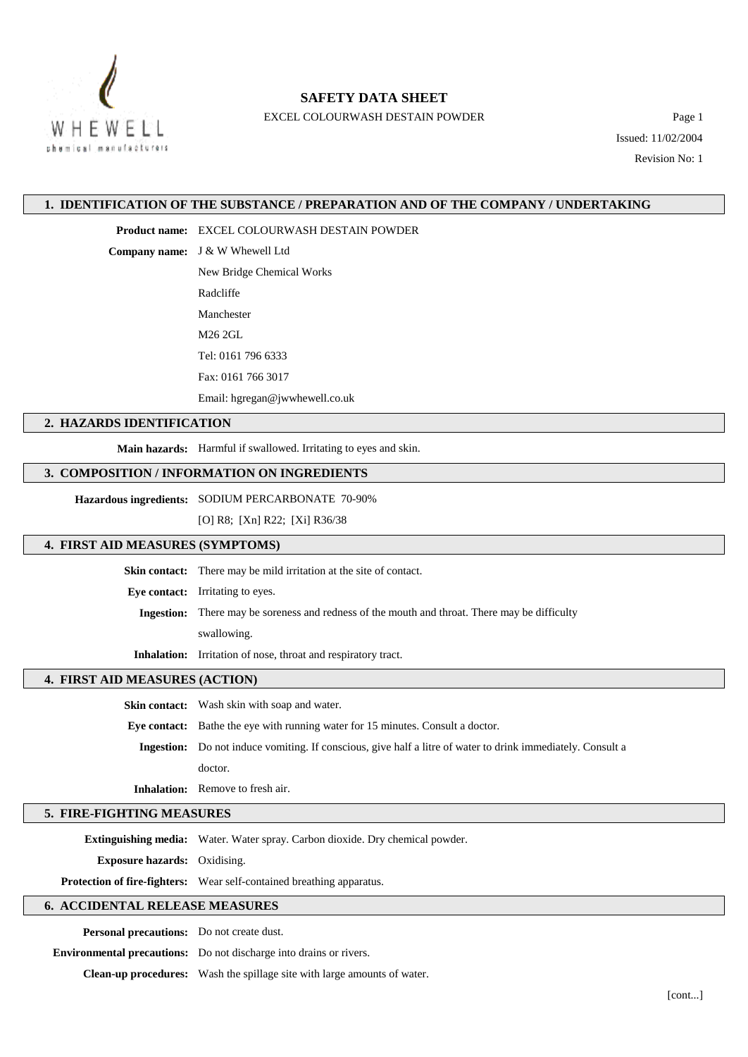

## **SAFETY DATA SHEET**

EXCEL COLOURWASH DESTAIN POWDER Page 1

Issued: 11/02/2004

Revision No: 1

#### **1. IDENTIFICATION OF THE SUBSTANCE / PREPARATION AND OF THE COMPANY / UNDERTAKING**

**Product name:** EXCEL COLOURWASH DESTAIN POWDER

**Company name:** J & W Whewell Ltd

New Bridge Chemical Works

Radcliffe

Manchester

M26 2GL

Tel: 0161 796 6333

Fax: 0161 766 3017

Email: hgregan@jwwhewell.co.uk

#### **2. HAZARDS IDENTIFICATION**

**Main hazards:** Harmful if swallowed. Irritating to eyes and skin.

## **3. COMPOSITION / INFORMATION ON INGREDIENTS**

**Hazardous ingredients:** SODIUM PERCARBONATE 70-90%

[O] R8; [Xn] R22; [Xi] R36/38

#### **4. FIRST AID MEASURES (SYMPTOMS)**

**Skin contact:** There may be mild irritation at the site of contact.

**Eye contact:** Irritating to eyes.

**Ingestion:** There may be soreness and redness of the mouth and throat. There may be difficulty swallowing.

**Inhalation:** Irritation of nose, throat and respiratory tract.

#### **4. FIRST AID MEASURES (ACTION)**

**Skin contact:** Wash skin with soap and water.

**Eye contact:** Bathe the eye with running water for 15 minutes. Consult a doctor.

**Ingestion:** Do not induce vomiting. If conscious, give half a litre of water to drink immediately. Consult a doctor.

**Inhalation:** Remove to fresh air.

## **5. FIRE-FIGHTING MEASURES**

**Extinguishing media:** Water. Water spray. Carbon dioxide. Dry chemical powder.

**Exposure hazards:** Oxidising.

**Protection of fire-fighters:** Wear self-contained breathing apparatus.

## **6. ACCIDENTAL RELEASE MEASURES**

**Personal precautions:** Do not create dust.

**Environmental precautions:** Do not discharge into drains or rivers.

**Clean-up procedures:** Wash the spillage site with large amounts of water.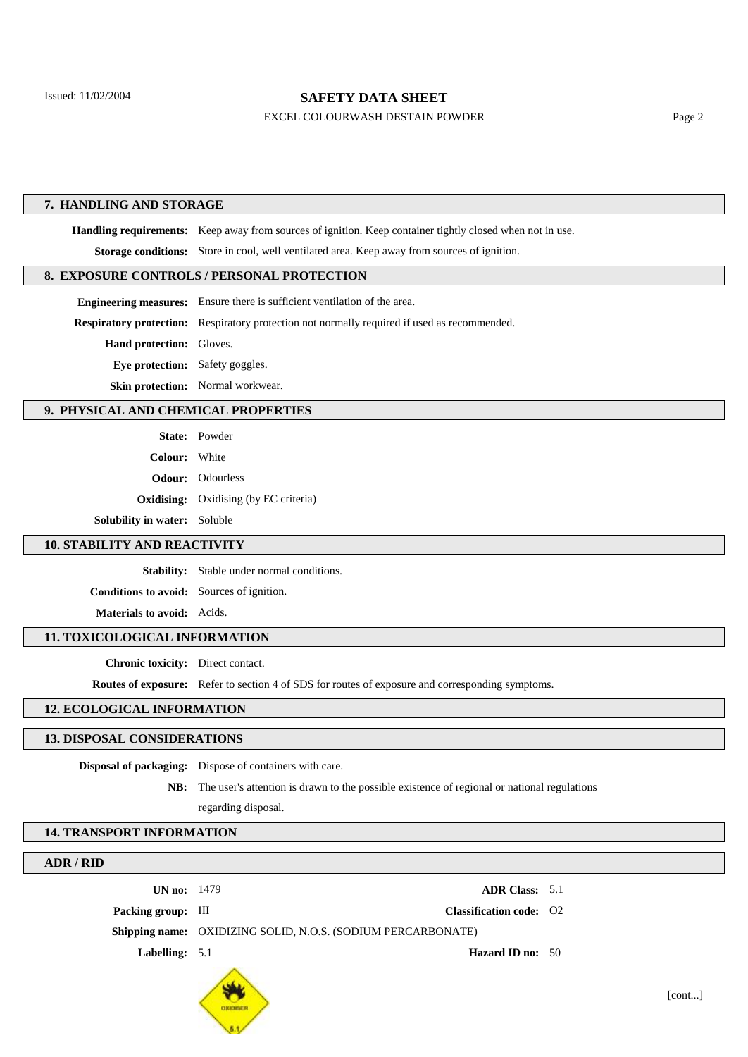## **SAFETY DATA SHEET**

#### EXCEL COLOURWASH DESTAIN POWDER Page 2

#### **7. HANDLING AND STORAGE**

**Handling requirements:** Keep away from sources of ignition. Keep container tightly closed when not in use. **Storage conditions:** Store in cool, well ventilated area. Keep away from sources of ignition.

## **8. EXPOSURE CONTROLS / PERSONAL PROTECTION**

|                                        | <b>Engineering measures:</b> Ensure there is sufficient ventilation of the area.                    |  |  |
|----------------------------------------|-----------------------------------------------------------------------------------------------------|--|--|
|                                        | <b>Respiratory protection:</b> Respiratory protection not normally required if used as recommended. |  |  |
| <b>Hand protection:</b> Gloves.        |                                                                                                     |  |  |
| <b>Eve protection:</b> Safety goggles. |                                                                                                     |  |  |
|                                        | <b>Skin protection:</b> Normal workwear.                                                            |  |  |

#### **9. PHYSICAL AND CHEMICAL PROPERTIES**

|                                     | <b>State:</b> Powder                         |
|-------------------------------------|----------------------------------------------|
| Colour: White                       |                                              |
|                                     | <b>Odour:</b> Odourless                      |
|                                     | <b>Oxidising:</b> Oxidising (by EC criteria) |
| <b>Solubility in water:</b> Soluble |                                              |

## **10. STABILITY AND REACTIVITY**

**Stability:** Stable under normal conditions.

**Conditions to avoid:** Sources of ignition.

**Materials to avoid:** Acids.

#### **11. TOXICOLOGICAL INFORMATION**

**Chronic toxicity:** Direct contact.

**Routes of exposure:** Refer to section 4 of SDS for routes of exposure and corresponding symptoms.

**Packing group:** III **Classification code:** O2

#### **12. ECOLOGICAL INFORMATION**

## **13. DISPOSAL CONSIDERATIONS**

**Disposal of packaging:** Dispose of containers with care.

**NB:** The user's attention is drawn to the possible existence of regional or national regulations

regarding disposal.

#### **14. TRANSPORT INFORMATION**

## **ADR / RID**

**UN no:** 1479 **ADR Class:** 5.1

**Shipping name:** OXIDIZING SOLID, N.O.S. (SODIUM PERCARBONATE)



**Labelling:** 5.1 **Hazard ID no:** 50